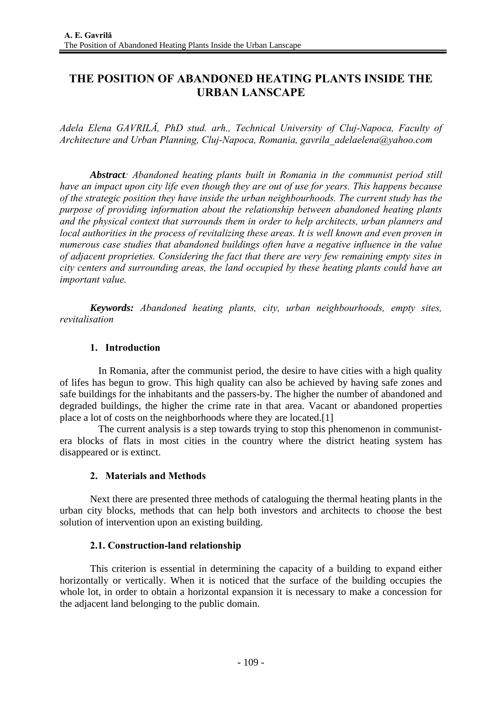# **THE POSITION OF ABANDONED HEATING PLANTS INSIDE THE URBAN LANSCAPE**

*Adela Elena GAVRILĂ, PhD stud. arh., Technical University of Cluj-Napoca, Faculty of Architecture and Urban Planning, Cluj-Napoca, Romania, gavrila\_adelaelena@yahoo.com* 

*Abstract: Abandoned heating plants built in Romania in the communist period still have an impact upon city life even though they are out of use for years. This happens because of the strategic position they have inside the urban neighbourhoods. The current study has the purpose of providing information about the relationship between abandoned heating plants and the physical context that surrounds them in order to help architects, urban planners and local authorities in the process of revitalizing these areas. It is well known and even proven in numerous case studies that abandoned buildings often have a negative influence in the value of adjacent proprieties. Considering the fact that there are very few remaining empty sites in city centers and surrounding areas, the land occupied by these heating plants could have an important value.* 

*Keywords: Abandoned heating plants, city, urban neighbourhoods, empty sites, revitalisation* 

### **1. Introduction**

 In Romania, after the communist period, the desire to have cities with a high quality of lifes has begun to grow. This high quality can also be achieved by having safe zones and safe buildings for the inhabitants and the passers-by. The higher the number of abandoned and degraded buildings, the higher the crime rate in that area. Vacant or abandoned properties place a lot of costs on the neighborhoods where they are located.[1]

 The current analysis is a step towards trying to stop this phenomenon in communistera blocks of flats in most cities in the country where the district heating system has disappeared or is extinct.

### **2. Materials and Methods**

Next there are presented three methods of cataloguing the thermal heating plants in the urban city blocks, methods that can help both investors and architects to choose the best solution of intervention upon an existing building.

### **2.1. Construction-land relationship**

This criterion is essential in determining the capacity of a building to expand either horizontally or vertically. When it is noticed that the surface of the building occupies the whole lot, in order to obtain a horizontal expansion it is necessary to make a concession for the adjacent land belonging to the public domain.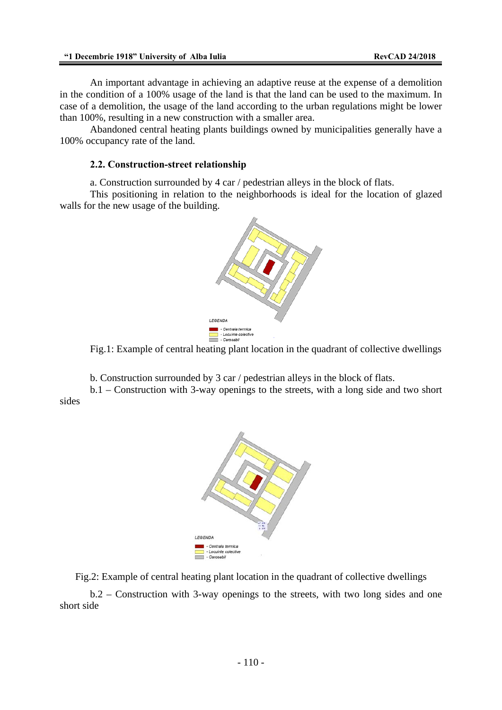An important advantage in achieving an adaptive reuse at the expense of a demolition in the condition of a 100% usage of the land is that the land can be used to the maximum. In case of a demolition, the usage of the land according to the urban regulations might be lower than 100%, resulting in a new construction with a smaller area.

Abandoned central heating plants buildings owned by municipalities generally have a 100% occupancy rate of the land.

### **2.2. Construction-street relationship**

a. Construction surrounded by 4 car / pedestrian alleys in the block of flats.

This positioning in relation to the neighborhoods is ideal for the location of glazed walls for the new usage of the building.



Fig.1: Example of central heating plant location in the quadrant of collective dwellings

b. Construction surrounded by 3 car / pedestrian alleys in the block of flats.

b.1 – Construction with 3-way openings to the streets, with a long side and two short sides



Fig.2: Example of central heating plant location in the quadrant of collective dwellings

b.2 – Construction with 3-way openings to the streets, with two long sides and one short side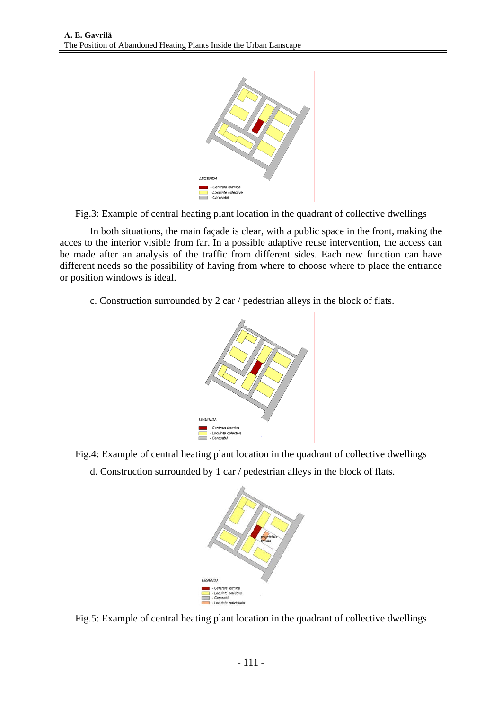

Fig.3: Example of central heating plant location in the quadrant of collective dwellings

In both situations, the main façade is clear, with a public space in the front, making the acces to the interior visible from far. In a possible adaptive reuse intervention, the access can be made after an analysis of the traffic from different sides. Each new function can have different needs so the possibility of having from where to choose where to place the entrance or position windows is ideal.

c. Construction surrounded by 2 car / pedestrian alleys in the block of flats.



- Fig.4: Example of central heating plant location in the quadrant of collective dwellings
	- d. Construction surrounded by 1 car / pedestrian alleys in the block of flats.



Fig.5: Example of central heating plant location in the quadrant of collective dwellings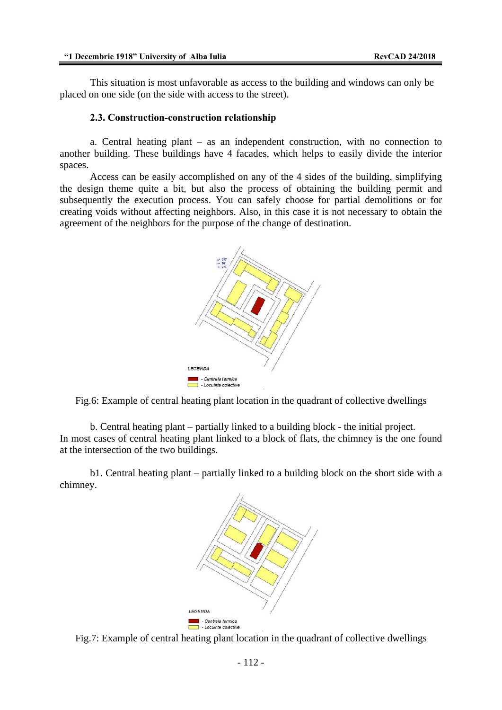This situation is most unfavorable as access to the building and windows can only be placed on one side (on the side with access to the street).

#### **2.3. Construction-construction relationship**

a. Central heating plant – as an independent construction, with no connection to another building. These buildings have 4 facades, which helps to easily divide the interior spaces.

Access can be easily accomplished on any of the 4 sides of the building, simplifying the design theme quite a bit, but also the process of obtaining the building permit and subsequently the execution process. You can safely choose for partial demolitions or for creating voids without affecting neighbors. Also, in this case it is not necessary to obtain the agreement of the neighbors for the purpose of the change of destination.



Fig.6: Example of central heating plant location in the quadrant of collective dwellings

b. Central heating plant – partially linked to a building block - the initial project. In most cases of central heating plant linked to a block of flats, the chimney is the one found at the intersection of the two buildings.

b1. Central heating plant – partially linked to a building block on the short side with a chimney.



Fig.7: Example of central heating plant location in the quadrant of collective dwellings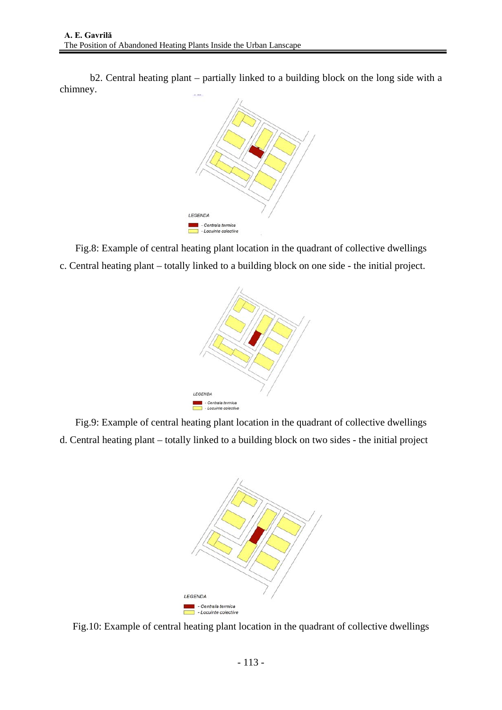b2. Central heating plant – partially linked to a building block on the long side with a chimney.



Fig.8: Example of central heating plant location in the quadrant of collective dwellings c. Central heating plant – totally linked to a building block on one side - the initial project.



Fig.9: Example of central heating plant location in the quadrant of collective dwellings d. Central heating plant – totally linked to a building block on two sides - the initial project



Fig.10: Example of central heating plant location in the quadrant of collective dwellings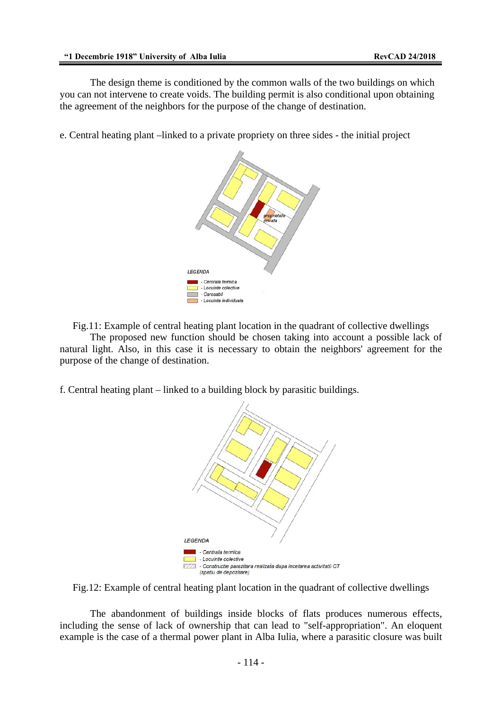The design theme is conditioned by the common walls of the two buildings on which you can not intervene to create voids. The building permit is also conditional upon obtaining the agreement of the neighbors for the purpose of the change of destination.

e. Central heating plant –linked to a private propriety on three sides - the initial project



Fig.11: Example of central heating plant location in the quadrant of collective dwellings

The proposed new function should be chosen taking into account a possible lack of natural light. Also, in this case it is necessary to obtain the neighbors' agreement for the purpose of the change of destination.

f. Central heating plant – linked to a building block by parasitic buildings.



Fig.12: Example of central heating plant location in the quadrant of collective dwellings

 The abandonment of buildings inside blocks of flats produces numerous effects, including the sense of lack of ownership that can lead to "self-appropriation". An eloquent example is the case of a thermal power plant in Alba Iulia, where a parasitic closure was built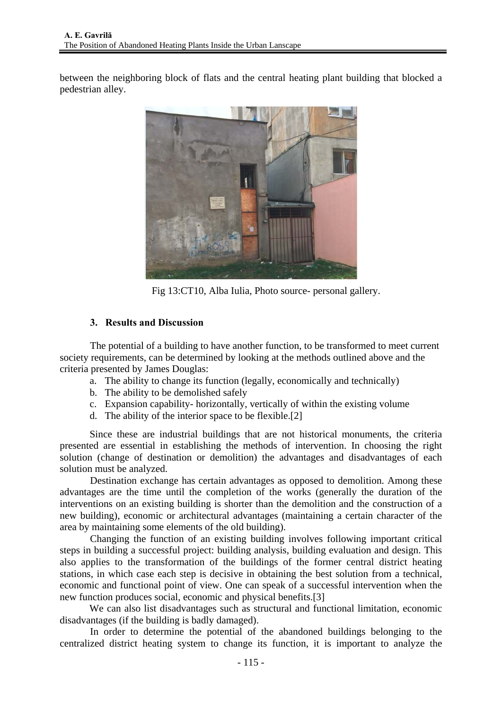between the neighboring block of flats and the central heating plant building that blocked a pedestrian alley.



Fig 13:CT10, Alba Iulia, Photo source- personal gallery.

## **3. Results and Discussion**

The potential of a building to have another function, to be transformed to meet current society requirements, can be determined by looking at the methods outlined above and the criteria presented by James Douglas:

- a. The ability to change its function (legally, economically and technically)
- b. The ability to be demolished safely
- c. Expansion capability- horizontally, vertically of within the existing volume
- d. The ability of the interior space to be flexible.[2]

Since these are industrial buildings that are not historical monuments, the criteria presented are essential in establishing the methods of intervention. In choosing the right solution (change of destination or demolition) the advantages and disadvantages of each solution must be analyzed.

 Destination exchange has certain advantages as opposed to demolition. Among these advantages are the time until the completion of the works (generally the duration of the interventions on an existing building is shorter than the demolition and the construction of a new building), economic or architectural advantages (maintaining a certain character of the area by maintaining some elements of the old building).

 Changing the function of an existing building involves following important critical steps in building a successful project: building analysis, building evaluation and design. This also applies to the transformation of the buildings of the former central district heating stations, in which case each step is decisive in obtaining the best solution from a technical, economic and functional point of view. One can speak of a successful intervention when the new function produces social, economic and physical benefits.[3]

We can also list disadvantages such as structural and functional limitation, economic disadvantages (if the building is badly damaged).

 In order to determine the potential of the abandoned buildings belonging to the centralized district heating system to change its function, it is important to analyze the